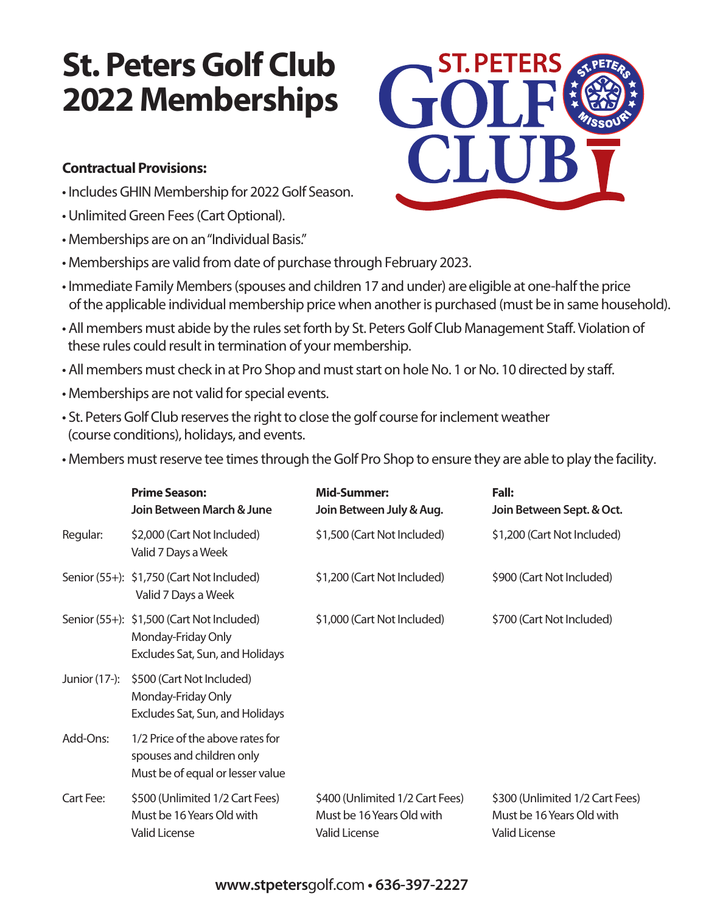## **St. Peters Golf Club 2022 Memberships**

## **Contractual Provisions:**

- IncludesGHIN Membership for 2022 Golf Season.
- Unlimited Green Fees (Cart Optional).
- Memberships are on an"Individual Basis."
- Memberships are valid from date of purchase through February 2023.
- Immediate Family Members (spouses and children 17 and under) are eligible at one-half the price of the applicable individual membership price when another is purchased (must be in same household).
- •All members must abide by the rules set forth by St. Peters Golf Club Management Staff. Violation of these rules could result in termination of your membership.
- All members must check in at Pro Shop and must start on hole No. 1 or No. 10 directed by staff.
- Memberships are not valid for special events.
- St. Peters Golf Club reserves the right to close the golf course for inclement weather (course conditions), holidays, and events.
- Members must reserve tee times through the Golf Pro Shop to ensure they are able to play the facility.

|               | <b>Prime Season:</b><br>Join Between March & June                                                  | <b>Mid-Summer:</b><br>Join Between July & Aug.                                       | Fall:<br>Join Between Sept. & Oct.                                                   |
|---------------|----------------------------------------------------------------------------------------------------|--------------------------------------------------------------------------------------|--------------------------------------------------------------------------------------|
| Regular:      | \$2,000 (Cart Not Included)<br>Valid 7 Days a Week                                                 | \$1,500 (Cart Not Included)                                                          | \$1,200 (Cart Not Included)                                                          |
|               | Senior (55+): \$1,750 (Cart Not Included)<br>Valid 7 Days a Week                                   | \$1,200 (Cart Not Included)                                                          | \$900 (Cart Not Included)                                                            |
|               | Senior (55+): \$1,500 (Cart Not Included)<br>Monday-Friday Only<br>Excludes Sat, Sun, and Holidays | \$1,000 (Cart Not Included)                                                          | \$700 (Cart Not Included)                                                            |
| Junior (17-): | \$500 (Cart Not Included)<br>Monday-Friday Only<br>Excludes Sat, Sun, and Holidays                 |                                                                                      |                                                                                      |
| Add-Ons:      | 1/2 Price of the above rates for<br>spouses and children only<br>Must be of equal or lesser value  |                                                                                      |                                                                                      |
| Cart Fee:     | \$500 (Unlimited 1/2 Cart Fees)<br>Must be 16 Years Old with<br><b>Valid License</b>               | \$400 (Unlimited 1/2 Cart Fees)<br>Must be 16 Years Old with<br><b>Valid License</b> | \$300 (Unlimited 1/2 Cart Fees)<br>Must be 16 Years Old with<br><b>Valid License</b> |



## **www.stpeters**golf.com **• 636-397-2227**